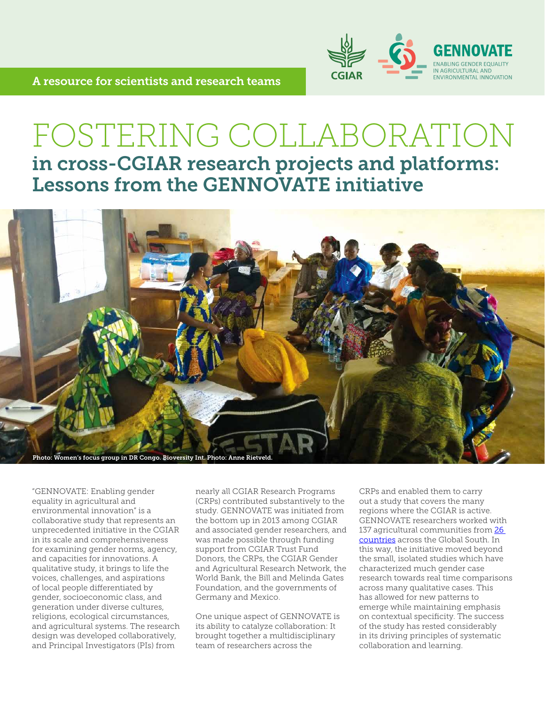

## FOSTERING COLLABORATION in cross-CGIAR research projects and platforms: Lessons from the GENNOVATE initiative



"GENNOVATE: Enabling gender equality in agricultural and environmental innovation" is a collaborative study that represents an unprecedented initiative in the CGIAR in its scale and comprehensiveness for examining gender norms, agency, and capacities for innovations. A qualitative study, it brings to life the voices, challenges, and aspirations of local people differentiated by gender, socioeconomic class, and generation under diverse cultures, religions, ecological circumstances, and agricultural systems. The research design was developed collaboratively, and Principal Investigators (PIs) from

nearly all CGIAR Research Programs (CRPs) contributed substantively to the study. GENNOVATE was initiated from the bottom up in 2013 among CGIAR and associated gender researchers, and was made possible through funding support from CGIAR Trust Fund Donors, the CRPs, the CGIAR Gender and Agricultural Research Network, the World Bank, the Bill and Melinda Gates Foundation, and the governments of Germany and Mexico.

One unique aspect of GENNOVATE is its ability to catalyze collaboration: It brought together a multidisciplinary team of researchers across the

CRPs and enabled them to carry out a study that covers the many regions where the CGIAR is active. GENNOVATE researchers worked with 137 agricultural communities from [26](https://gender.cgiar.org/themes/gennovate/sample/)  [countries](https://gender.cgiar.org/themes/gennovate/sample/) across the Global South. In this way, the initiative moved beyond the small, isolated studies which have characterized much gender case research towards real time comparisons across many qualitative cases. This has allowed for new patterns to emerge while maintaining emphasis on contextual specificity. The success of the study has rested considerably in its driving principles of systematic collaboration and learning.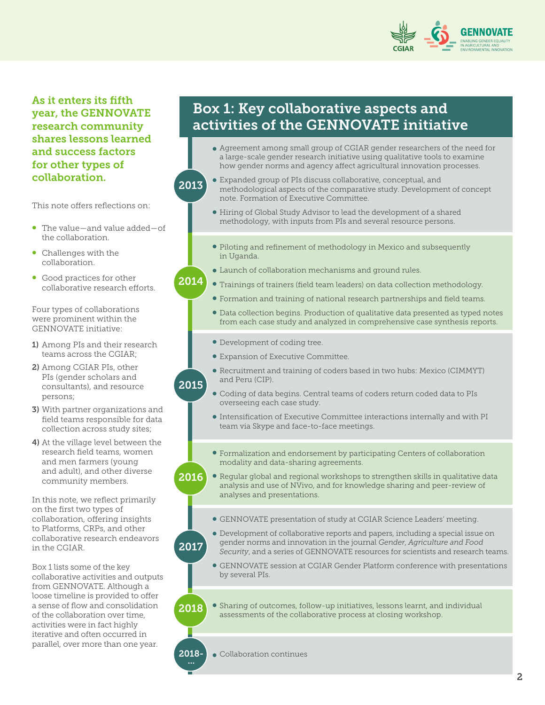

As it enters its fifth year, the GENNOVATE research community shares lessons learned and success factors for other types of collaboration.

This note offers reflections on:

• The value—and value added—of the collaboration.

2013

2015

- Challenges with the collaboration.
- Good practices for other collaborative research efforts.

Four types of collaborations were prominent within the GENNOVATE initiative:

- 1) Among PIs and their research teams across the CGIAR;
- 2) Among CGIAR PIs, other PIs (gender scholars and consultants), and resource persons;
- 3) With partner organizations and field teams responsible for data collection across study sites;
- 4) At the village level between the research field teams, women and men farmers (young and adult), and other diverse community members.

In this note, we reflect primarily on the first two types of collaboration, offering insights to Platforms, CRPs, and other collaborative research endeavors in the CGIAR.

Box 1 lists some of the key collaborative activities and outputs from GENNOVATE. Although a loose timeline is provided to offer a sense of flow and consolidation of the collaboration over time, activities were in fact highly iterative and often occurred in parallel, over more than one year.

## Box 1: Key collaborative aspects and activities of the GENNOVATE initiative

- Agreement among small group of CGIAR gender researchers of the need for a large-scale gender research initiative using qualitative tools to examine how gender norms and agency affect agricultural innovation processes.
- Expanded group of PIs discuss collaborative, conceptual, and methodological aspects of the comparative study. Development of concept note. Formation of Executive Committee.
- Hiring of Global Study Advisor to lead the development of a shared methodology, with inputs from PIs and several resource persons.
- Piloting and refinement of methodology in Mexico and subsequently in Uganda.
- Launch of collaboration mechanisms and ground rules.
- Trainings of trainers (field team leaders) on data collection methodology. 2014
	- Formation and training of national research partnerships and field teams.
	- Data collection begins. Production of qualitative data presented as typed notes from each case study and analyzed in comprehensive case synthesis reports.
	- Development of coding tree.
	- Expansion of Executive Committee.
	- Recruitment and training of coders based in two hubs: Mexico (CIMMYT) and Peru (CIP).
	- Coding of data begins. Central teams of coders return coded data to PIs overseeing each case study.
	- Intensification of Executive Committee interactions internally and with PI team via Skype and face-to-face meetings.
	- Formalization and endorsement by participating Centers of collaboration modality and data-sharing agreements.
- 2016 Regular global and regional workshops to strengthen skills in qualitative data analysis and use of NVivo, and for knowledge sharing and peer-review of analyses and presentations.
	- GENNOVATE presentation of study at CGIAR Science Leaders' meeting.
- 2017 Development of collaborative reports and papers, including a special issue on gender norms and innovation in the journal *Gender*, *Agriculture and Food Security*, and a series of GENNOVATE resources for scientists and research teams.
	- GENNOVATE session at CGIAR Gender Platform conference with presentations by several PIs.

2018 Sharing of outcomes, follow-up initiatives, lessons learnt, and individual assessments of the collaborative process at closing workshop.

2018-Collaboration continues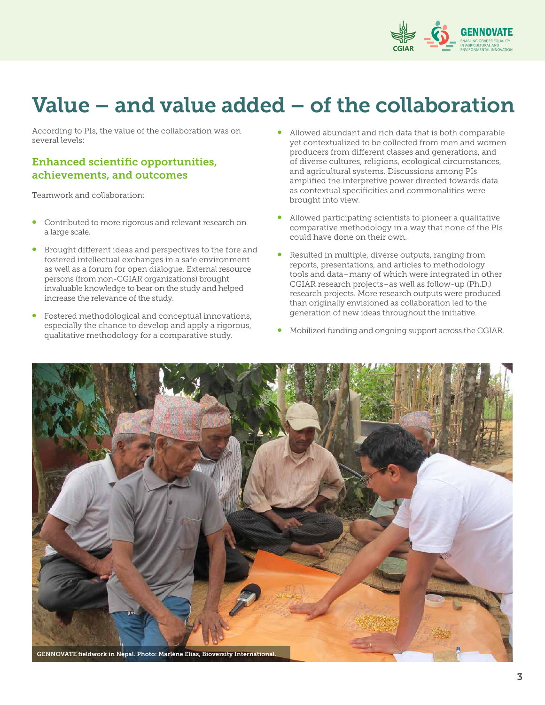

# Value – and value added – of the collaboration

According to PIs, the value of the collaboration was on several levels:

#### Enhanced scientific opportunities, achievements, and outcomes

Teamwork and collaboration:

- Contributed to more rigorous and relevant research on a large scale.
- Brought different ideas and perspectives to the fore and fostered intellectual exchanges in a safe environment as well as a forum for open dialogue. External resource persons (from non-CGIAR organizations) brought invaluable knowledge to bear on the study and helped increase the relevance of the study.
- Fostered methodological and conceptual innovations, especially the chance to develop and apply a rigorous, qualitative methodology for a comparative study.
- Allowed abundant and rich data that is both comparable yet contextualized to be collected from men and women producers from different classes and generations, and of diverse cultures, religions, ecological circumstances, and agricultural systems. Discussions among PIs amplified the interpretive power directed towards data as contextual specificities and commonalities were brought into view.
- Allowed participating scientists to pioneer a qualitative comparative methodology in a way that none of the PIs could have done on their own.
- Resulted in multiple, diverse outputs, ranging from reports, presentations, and articles to methodology tools and data–many of which were integrated in other CGIAR research projects–as well as follow-up (Ph.D.) research projects. More research outputs were produced than originally envisioned as collaboration led to the generation of new ideas throughout the initiative.
- Mobilized funding and ongoing support across the CGIAR.

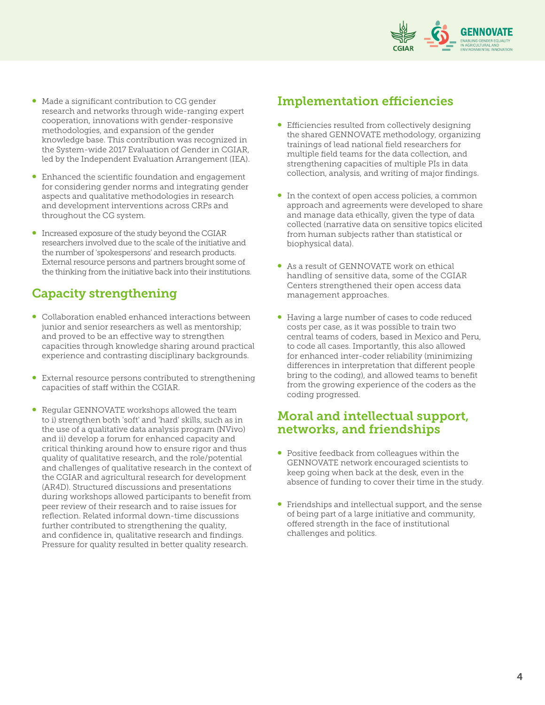

- Made a significant contribution to CG gender research and networks through wide-ranging expert cooperation, innovations with gender-responsive methodologies, and expansion of the gender knowledge base. This contribution was recognized in the System-wide 2017 Evaluation of Gender in CGIAR, led by the Independent Evaluation Arrangement (IEA).
- Enhanced the scientific foundation and engagement for considering gender norms and integrating gender aspects and qualitative methodologies in research and development interventions across CRPs and throughout the CG system.
- Increased exposure of the study beyond the CGIAR researchers involved due to the scale of the initiative and the number of 'spokespersons' and research products. External resource persons and partners brought some of the thinking from the initiative back into their institutions.

### Capacity strengthening

- Collaboration enabled enhanced interactions between junior and senior researchers as well as mentorship; and proved to be an effective way to strengthen capacities through knowledge sharing around practical experience and contrasting disciplinary backgrounds.
- External resource persons contributed to strengthening capacities of staff within the CGIAR.
- Regular GENNOVATE workshops allowed the team to i) strengthen both 'soft' and 'hard' skills, such as in the use of a qualitative data analysis program (NVivo) and ii) develop a forum for enhanced capacity and critical thinking around how to ensure rigor and thus quality of qualitative research, and the role/potential and challenges of qualitative research in the context of the CGIAR and agricultural research for development (AR4D). Structured discussions and presentations during workshops allowed participants to benefit from peer review of their research and to raise issues for reflection. Related informal down-time discussions further contributed to strengthening the quality, and confidence in, qualitative research and findings. Pressure for quality resulted in better quality research.

### Implementation efficiencies

- Efficiencies resulted from collectively designing the shared GENNOVATE methodology, organizing trainings of lead national field researchers for multiple field teams for the data collection, and strengthening capacities of multiple PIs in data collection, analysis, and writing of major findings.
- In the context of open access policies, a common approach and agreements were developed to share and manage data ethically, given the type of data collected (narrative data on sensitive topics elicited from human subjects rather than statistical or biophysical data).
- As a result of GENNOVATE work on ethical handling of sensitive data, some of the CGIAR Centers strengthened their open access data management approaches.
- Having a large number of cases to code reduced costs per case, as it was possible to train two central teams of coders, based in Mexico and Peru, to code all cases. Importantly, this also allowed for enhanced inter-coder reliability (minimizing differences in interpretation that different people bring to the coding), and allowed teams to benefit from the growing experience of the coders as the coding progressed.

#### Moral and intellectual support, networks, and friendships

- Positive feedback from colleagues within the GENNOVATE network encouraged scientists to keep going when back at the desk, even in the absence of funding to cover their time in the study.
- Friendships and intellectual support, and the sense of being part of a large initiative and community, offered strength in the face of institutional challenges and politics.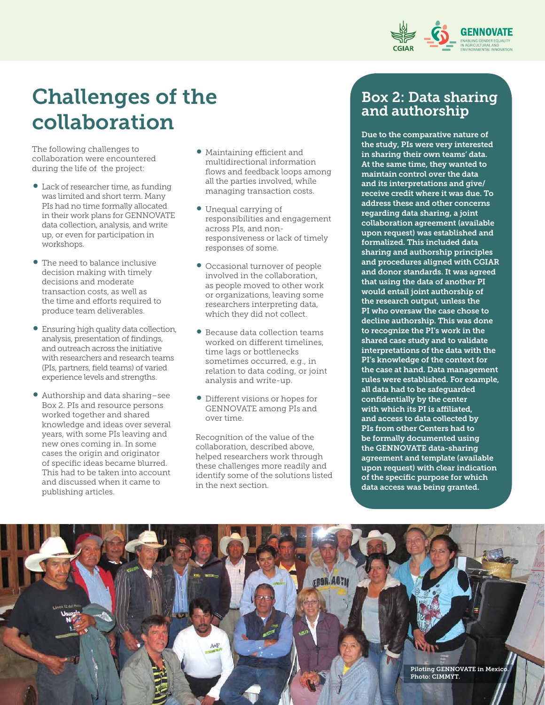

## Challenges of the collaboration

The following challenges to collaboration were encountered during the life of the project:

- Lack of researcher time, as funding was limited and short term. Many PIs had no time formally allocated in their work plans for GENNOVATE data collection, analysis, and write up, or even for participation in workshops.
- The need to balance inclusive decision making with timely decisions and moderate transaction costs, as well as the time and efforts required to produce team deliverables.
- Ensuring high quality data collection, analysis, presentation of findings, and outreach across the initiative with researchers and research teams (PIs, partners, field teams) of varied experience levels and strengths.
- Authorship and data sharing–see Box 2. PIs and resource persons worked together and shared knowledge and ideas over several years, with some PIs leaving and new ones coming in. In some cases the origin and originator of specific ideas became blurred. This had to be taken into account and discussed when it came to publishing articles.
- Maintaining efficient and multidirectional information flows and feedback loops among all the parties involved, while managing transaction costs.
- Unequal carrying of responsibilities and engagement across PIs, and nonresponsiveness or lack of timely responses of some.
- Occasional turnover of people involved in the collaboration, as people moved to other work or organizations, leaving some researchers interpreting data, which they did not collect.
- Because data collection teams worked on different timelines, time lags or bottlenecks sometimes occurred, e.g., in relation to data coding, or joint analysis and write-up.
- Different visions or hopes for GENNOVATE among PIs and over time.

Recognition of the value of the collaboration, described above, helped researchers work through these challenges more readily and identify some of the solutions listed in the next section.

### Box 2: Data sharing and authorship

Due to the comparative nature of the study, PIs were very interested in sharing their own teams' data. At the same time, they wanted to maintain control over the data and its interpretations and give/ receive credit where it was due. To address these and other concerns regarding data sharing, a joint collaboration agreement (available upon request) was established and formalized. This included data sharing and authorship principles and procedures aligned with CGIAR and donor standards. It was agreed that using the data of another PI would entail joint authorship of the research output, unless the PI who oversaw the case chose to decline authorship. This was done to recognize the PI's work in the shared case study and to validate interpretations of the data with the PI's knowledge of the context for the case at hand. Data management rules were established. For example, all data had to be safeguarded confidentially by the center with which its PI is affiliated, and access to data collected by PIs from other Centers had to be formally documented using the GENNOVATE data-sharing agreement and template (available upon request) with clear indication of the specific purpose for which data access was being granted.

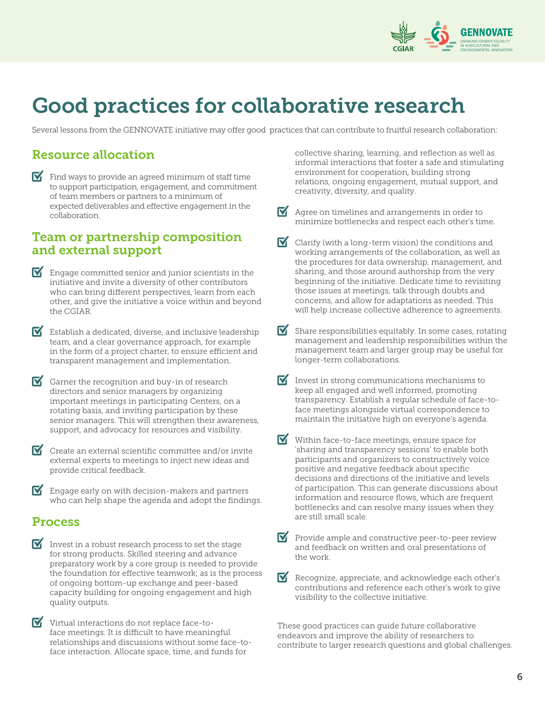

## Good practices for collaborative research

Several lessons from the GENNOVATE initiative may offer good practices that can contribute to fruitful research collaboration:

## Resource allocation

 $\blacksquare$  Find ways to provide an agreed minimum of staff time to support participation, engagement, and commitment of team members or partners to a minimum of expected deliverables and effective engagement in the collaboration.

#### Team or partnership composition and external support

- $\blacksquare$  Engage committed senior and junior scientists in the initiative and invite a diversity of other contributors who can bring different perspectives, learn from each other, and give the initiative a voice within and beyond the CGIAR.
- Establish a dedicated, diverse, and inclusive leadership team, and a clear governance approach, for example in the form of a project charter, to ensure efficient and transparent management and implementation.
- $\triangledown$  Garner the recognition and buy-in of research directors and senior managers by organizing important meetings in participating Centers, on a rotating basis, and inviting participation by these senior managers. This will strengthen their awareness, support, and advocacy for resources and visibility.
- $\blacksquare$  Create an external scientific committee and/or invite external experts to meetings to inject new ideas and provide critical feedback.
- $\blacksquare$  Engage early on with decision-makers and partners who can help shape the agenda and adopt the findings.

### Process

- Invest in a robust research process to set the stage for strong products. Skilled steering and advance preparatory work by a core group is needed to provide the foundation for effective teamwork; as is the process of ongoing bottom-up exchange and peer-based capacity building for ongoing engagement and high quality outputs.
- $\triangledown$  Virtual interactions do not replace face-toface meetings. It is difficult to have meaningful relationships and discussions without some face-toface interaction. Allocate space, time, and funds for

collective sharing, learning, and reflection as well as informal interactions that foster a safe and stimulating environment for cooperation, building strong relations, ongoing engagement, mutual support, and creativity, diversity, and quality.

- Agree on timelines and arrangements in order to minimize bottlenecks and respect each other's time.
- Clarify (with a long-term vision) the conditions and working arrangements of the collaboration, as well as the procedures for data ownership, management, and sharing, and those around authorship from the very beginning of the initiative. Dedicate time to revisiting those issues at meetings, talk through doubts and concerns, and allow for adaptations as needed. This will help increase collective adherence to agreements.
- M Share responsibilities equitably. In some cases, rotating management and leadership responsibilities within the management team and larger group may be useful for longer-term collaborations.
- M Invest in strong communications mechanisms to keep all engaged and well informed, promoting transparency. Establish a regular schedule of face-toface meetings alongside virtual correspondence to maintain the initiative high on everyone's agenda.
- M Within face-to-face meetings, ensure space for 'sharing and transparency sessions' to enable both participants and organizers to constructively voice positive and negative feedback about specific decisions and directions of the initiative and levels of participation. This can generate discussions about information and resource flows, which are frequent bottlenecks and can resolve many issues when they are still small scale.
- $\blacktriangleright$  Provide ample and constructive peer-to-peer review and feedback on written and oral presentations of the work.
- Recognize, appreciate, and acknowledge each other's contributions and reference each other's work to give visibility to the collective initiative.

These good practices can guide future collaborative endeavors and improve the ability of researchers to contribute to larger research questions and global challenges.